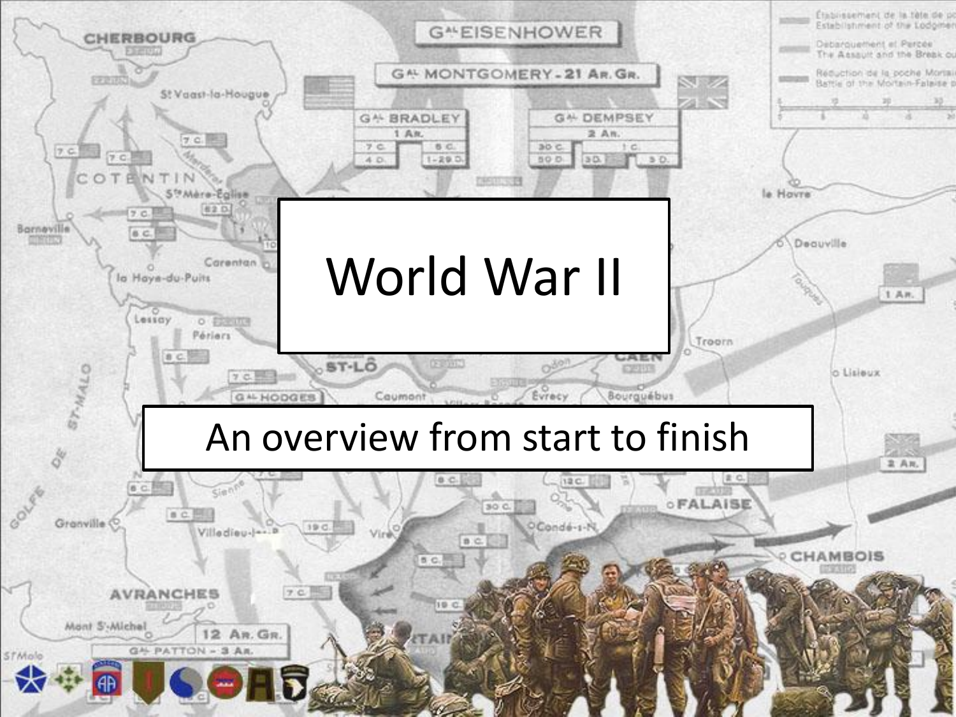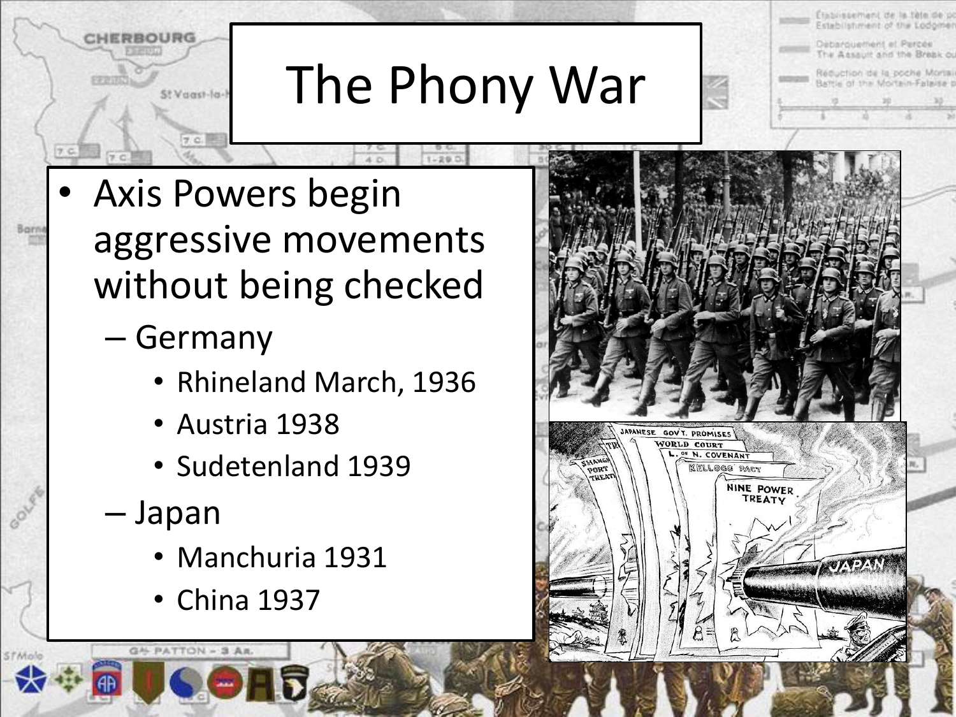# The Phony War

- Axis Powers begin aggressive movements without being checked
	- Germany

St Vaast-fa-t

- Rhineland March, 1936
- Austria 1938
- Sudetenland 1939
- Japan

G4 PATTON - 3 AR.

STARAJE

- Manchuria 1931
- China 1937



Etablissement de la téla de po

Debarquement et Percee The Assault and the Break ou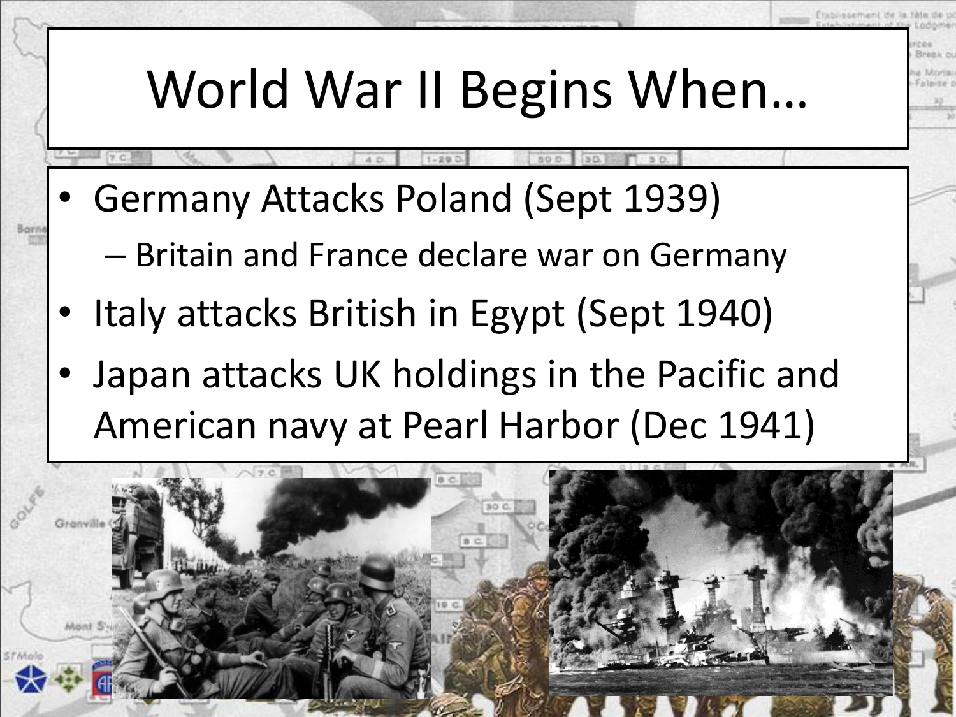#### World War II Begins When…

- Germany Attacks Poland (Sept 1939)
	- Britain and France declare war on Germany
- Italy attacks British in Egypt (Sept 1940)
- Japan attacks UK holdings in the Pacific and American navy at Pearl Harbor (Dec 1941)

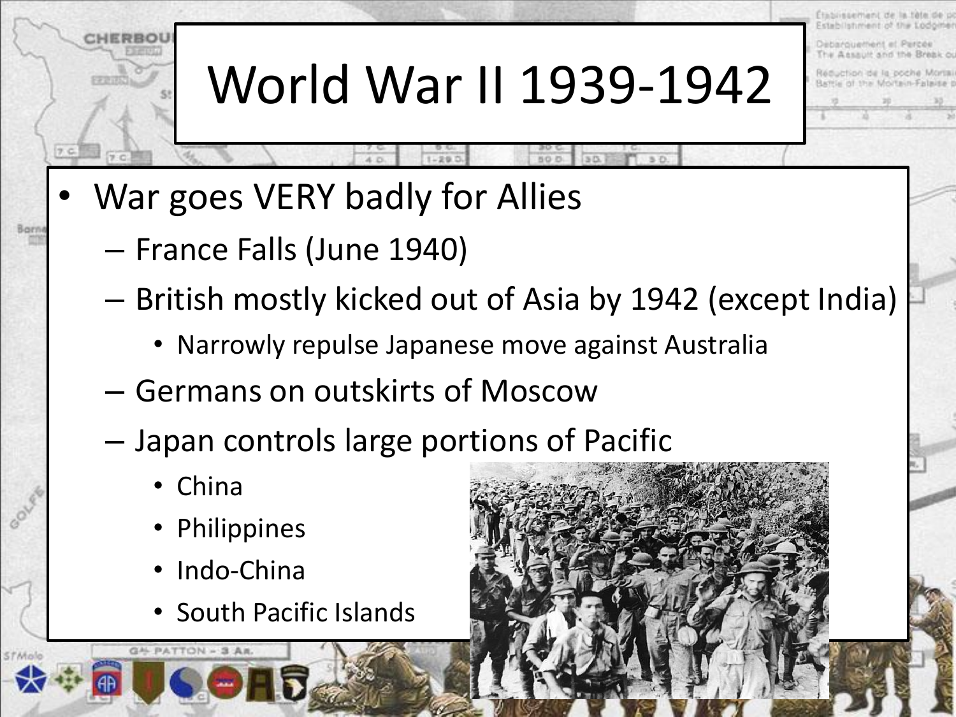### World War II 1939-1942

- War goes VERY badly for Allies
	- France Falls (June 1940)
	- British mostly kicked out of Asia by 1942 (except India)
		- Narrowly repulse Japanese move against Australia
	- Germans on outskirts of Moscow
	- Japan controls large portions of Pacific
		- China

GAL PATTON - 3 AR.

- Philippines
- Indo-China
- South Pacific Islands

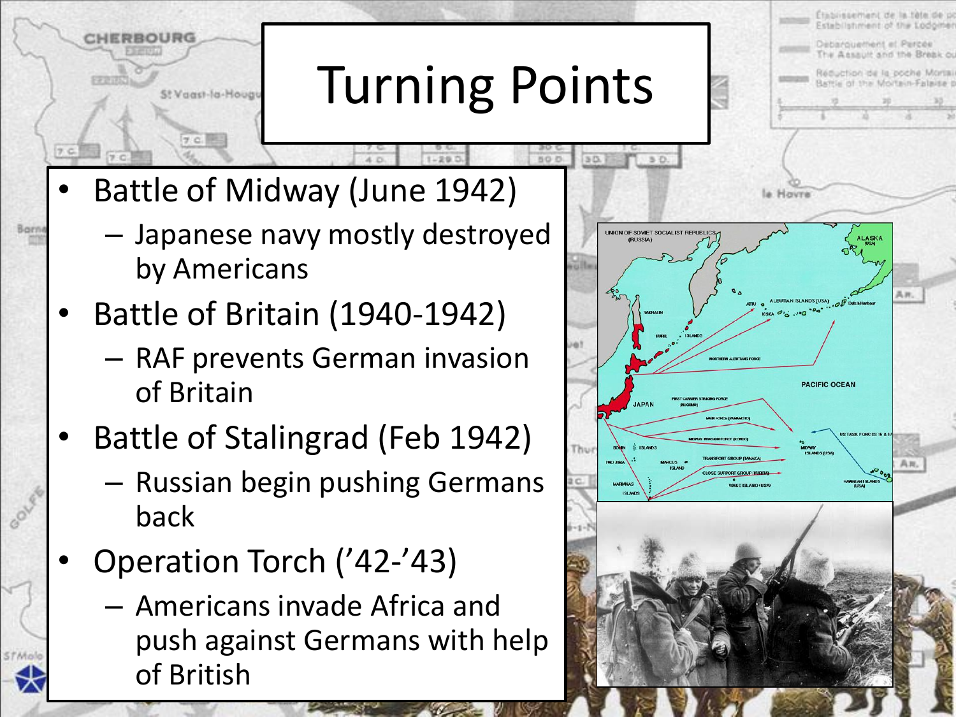## Turning Points

Battle of Midway (June 1942)

St Vaast-la-Houg

- Japanese navy mostly destroyed by Americans
- Battle of Britain (1940-1942)
	- RAF prevents German invasion of Britain
- Battle of Stalingrad (Feb 1942)
	- Russian begin pushing Germans back
- Operation Torch ('42-'43)
	- Americans invade Africa and push against Germans with help of British

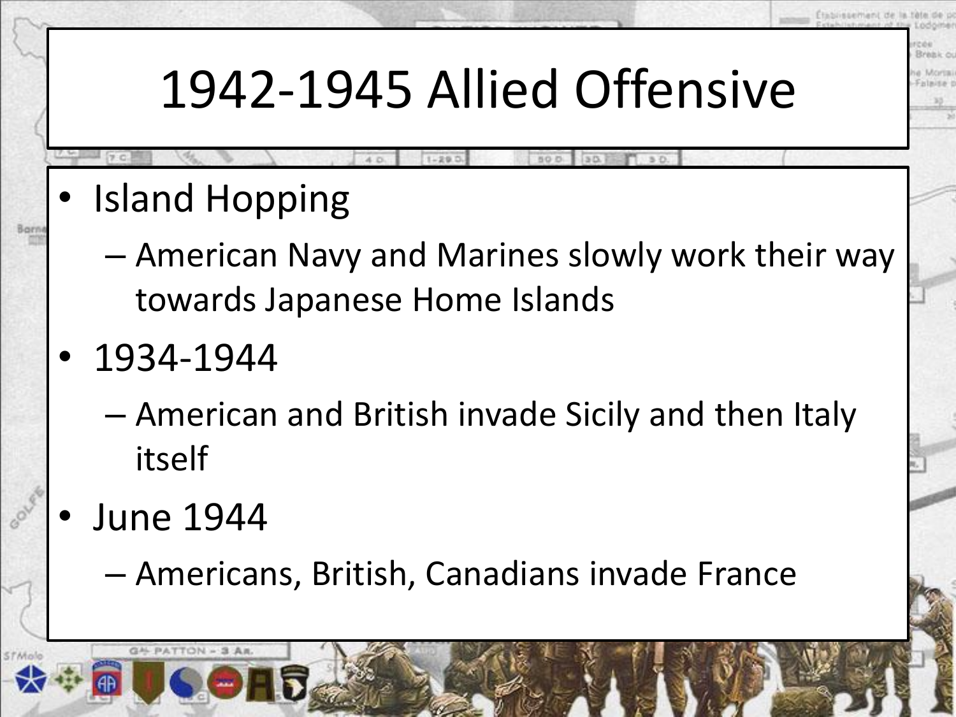#### 1942-1945 Allied Offensive

- Island Hopping
	- American Navy and Marines slowly work their way towards Japanese Home Islands
- 1934-1944
	- American and British invade Sicily and then Italy itself
- June 1944

GAL PATTON - 3 AB

– Americans, British, Canadians invade France